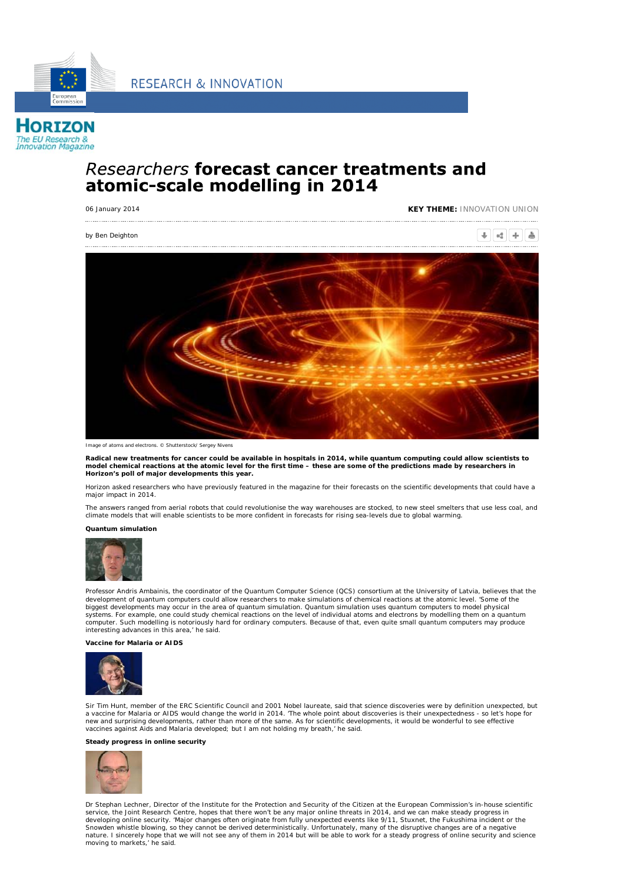**RESEARCH & INNOVATION** 



**HORIZON** The EU Research &<br>Innovation Magazine

# Researchers forecast cancer treatments and atomic-scale modelling in 2014

06 January 2014 **KEY THEME:** INNOVATION UNION

*by Ben Deighton*

 $+ 4 + 8$ 



*Image of atoms and electrons. © Shutterstock/ Sergey Nivens*

**Radical new treatments for cancer could be available in hospitals in 2014, while quantum computing could allow scientists to model chemical reactions at the atomic level for the first time – these are some of the predictions made by researchers in Horizon's poll of major developments this year.**

Horizon asked researchers who have previously featured in the magazine for their forecasts on the scientific developments that could have a major impact in 2014.

The answers ranged from aerial robots that could revolutionise the way warehouses are stocked, to new steel smelters that use less coal, and climate models that will enable scientists to be more confident in forecasts for rising sea-levels due to global warming.

**Quantum simulation**



Professor Andris Ambainis, the coordinator of the Quantum Computer Science (QCS) consortium at the University of Latvia, believes that the development of quantum computers could allow researchers to make simulations of chemical reactions at the atomic level. 'Some of the biggest developments may occur in the area of quantum simulation. Quantum simulation uses quantum computers to model physical<br>systems. For example, one could study chemical reactions on the level of individual atoms and el computer. Such modelling is notoriously hard for ordinary computers. Because of that, even quite small quantum computers may produce interesting advances in this area,' he said.

**Vaccine for Malaria or AIDS**



Sir Tim Hunt, member of the ERC Scientific Council and 2001 Nobel laureate, said that science discoveries were by definition unexpected, but a vaccine for Malaria or AIDS would change the world in 2014. 'The whole point about discoveries is their unexpectedness - so let's hope for<br>new and surprising developments, rather than more of the same. As for scientific vaccines against Aids and Malaria developed; but I am not holding my breath,' he said.

## **Steady progress in online security**



Dr Stephan Lechner, Director of the Institute for the Protection and Security of the Citizen at the European Commission's in-house scientific<br>service, the Joint Research Centre, hopes that there won't be any major online t developing online security. 'Major changes often originate from fully unexpected events like 9/11, Stuxnet, the Fukushima incident or the Snowden whistle blowing, so they cannot be derived deterministically. Unfortunately, many of the disruptive changes are of a negative<br>nature. I sincerely hope that we will not see any of them in 2014 but will be able to wo moving to markets,' he said.